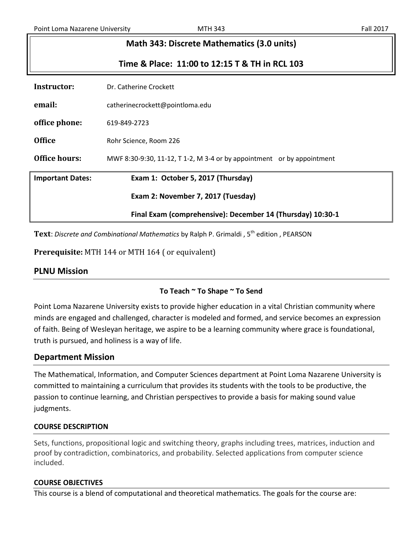| Math 343: Discrete Mathematics (3.0 units) |                                                                        |  |
|--------------------------------------------|------------------------------------------------------------------------|--|
|                                            | Time & Place: 11:00 to 12:15 T & TH in RCL 103                         |  |
| Instructor:                                | Dr. Catherine Crockett                                                 |  |
| email:                                     | catherinecrockett@pointloma.edu                                        |  |
| office phone:                              | 619-849-2723                                                           |  |
| <b>Office</b>                              | Rohr Science, Room 226                                                 |  |
| Office hours:                              | MWF 8:30-9:30, 11-12, T 1-2, M 3-4 or by appointment or by appointment |  |

**Important Dates: Exam 1: October 5, 2017 (Thursday)**

**Exam 2: November 7, 2017 (Tuesday)**

**Final Exam (comprehensive): December 14 (Thursday) 10:30-1**

Text: Discrete and Combinational Mathematics by Ralph P. Grimaldi, 5<sup>th</sup> edition, PEARSON

**Prerequisite:** MTH 144 or MTH 164 ( or equivalent)

## **PLNU Mission**

## **To Teach ~ To Shape ~ To Send**

Point Loma Nazarene University exists to provide higher education in a vital Christian community where minds are engaged and challenged, character is modeled and formed, and service becomes an expression of faith. Being of Wesleyan heritage, we aspire to be a learning community where grace is foundational, truth is pursued, and holiness is a way of life.

## **Department Mission**

The Mathematical, Information, and Computer Sciences department at Point Loma Nazarene University is committed to maintaining a curriculum that provides its students with the tools to be productive, the passion to continue learning, and Christian perspectives to provide a basis for making sound value judgments.

### **COURSE DESCRIPTION**

Sets, functions, propositional logic and switching theory, graphs including trees, matrices, induction and proof by contradiction, combinatorics, and probability. Selected applications from computer science included.

### **COURSE OBJECTIVES**

This course is a blend of computational and theoretical mathematics. The goals for the course are: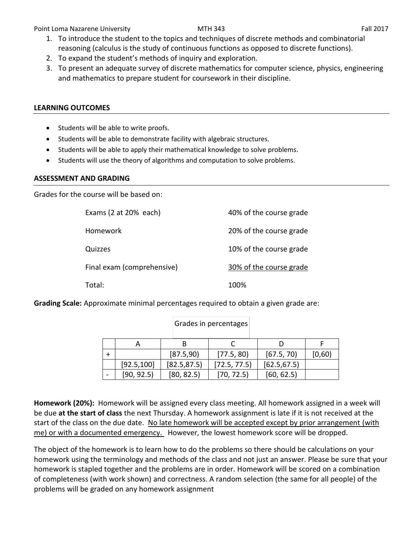Point Loma Nazarene University **MTH 343 MTH 343** Fall 2017

- 1. To introduce the student to the topics and techniques of discrete methods and combinatorial reasoning (calculus is the study of continuous functions as opposed to discrete functions).
- 2. To expand the student's methods of inquiry and exploration.
- 3. To present an adequate survey of discrete mathematics for computer science, physics, engineering and mathematics to prepare student for coursework in their discipline.

### **LEARNING OUTCOMES**

- Students will be able to write proofs.
- Students will be able to demonstrate facility with algebraic structures.
- Students will be able to apply their mathematical knowledge to solve problems.
- Students will use the theory of algorithms and computation to solve problems.

### **ASSESSMENT AND GRADING**

Grades for the course will be based on:

| Exams $(2 at 20\%$ each)   | 40% of the course grade |
|----------------------------|-------------------------|
| Homework                   | 20% of the course grade |
| Quizzes                    | 10% of the course grade |
| Final exam (comprehensive) | 30% of the course grade |
| Total:                     | 100%                    |

**Grading Scale:** Approximate minimal percentages required to obtain a given grade are:

|             | [87.5,90]    | [77.5, 80]   | [67.5, 70]   | [0,60) |
|-------------|--------------|--------------|--------------|--------|
| [92.5, 100] | [82.5, 87.5] | [72.5, 77.5] | [62.5, 67.5] |        |
| [90, 92.5]  | [80, 82.5]   | [70, 72.5]   | [60, 62.5]   |        |

Grades in percentages

**Homework (20%):** Homework will be assigned every class meeting. All homework assigned in a week will be due **at the start of class** the next Thursday. A homework assignment is late if it is not received at the start of the class on the due date. No late homework will be accepted except by prior arrangement (with me) or with a documented emergency. However, the lowest homework score will be dropped.

The object of the homework is to learn how to do the problems so there should be calculations on your homework using the terminology and methods of the class and not just an answer. Please be sure that your homework is stapled together and the problems are in order. Homework will be scored on a combination of completeness (with work shown) and correctness. A random selection (the same for all people) of the problems will be graded on any homework assignment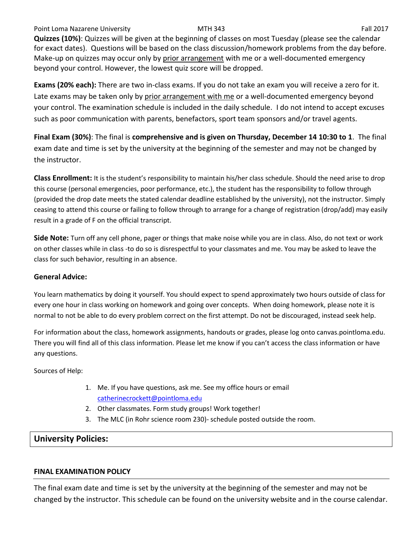### Point Loma Nazarene University **MTH 343** Fall 2017

**Quizzes (10%)**: Quizzes will be given at the beginning of classes on most Tuesday (please see the calendar for exact dates). Questions will be based on the class discussion/homework problems from the day before. Make-up on quizzes may occur only by prior arrangement with me or a well-documented emergency beyond your control. However, the lowest quiz score will be dropped.

**Exams (20% each):** There are two in-class exams. If you do not take an exam you will receive a zero for it. Late exams may be taken only by prior arrangement with me or a well-documented emergency beyond your control. The examination schedule is included in the daily schedule. I do not intend to accept excuses such as poor communication with parents, benefactors, sport team sponsors and/or travel agents.

**Final Exam (30%)**: The final is **comprehensive and is given on Thursday, December 14 10:30 to 1**. The final exam date and time is set by the university at the beginning of the semester and may not be changed by the instructor.

**Class Enrollment:** It is the student's responsibility to maintain his/her class schedule. Should the need arise to drop this course (personal emergencies, poor performance, etc.), the student has the responsibility to follow through (provided the drop date meets the stated calendar deadline established by the university), not the instructor. Simply ceasing to attend this course or failing to follow through to arrange for a change of registration (drop/add) may easily result in a grade of F on the official transcript.

**Side Note:** Turn off any cell phone, pager or things that make noise while you are in class. Also, do not text or work on other classes while in class -to do so is disrespectful to your classmates and me. You may be asked to leave the class for such behavior, resulting in an absence.

### **General Advice:**

You learn mathematics by doing it yourself. You should expect to spend approximately two hours outside of class for every one hour in class working on homework and going over concepts. When doing homework, please note it is normal to not be able to do every problem correct on the first attempt. Do not be discouraged, instead seek help.

For information about the class, homework assignments, handouts or grades, please log onto canvas.pointloma.edu. There you will find all of this class information. Please let me know if you can't access the class information or have any questions.

Sources of Help:

- 1. Me. If you have questions, ask me. See my office hours or email [catherinecrockett@pointloma.edu](mailto:catherinecrockett@pointloma.edu)
- 2. Other classmates. Form study groups! Work together!
- 3. The MLC (in Rohr science room 230)- schedule posted outside the room.

## **University Policies:**

### **FINAL EXAMINATION POLICY**

The final exam date and time is set by the university at the beginning of the semester and may not be changed by the instructor. This schedule can be found on the university website and in the course calendar.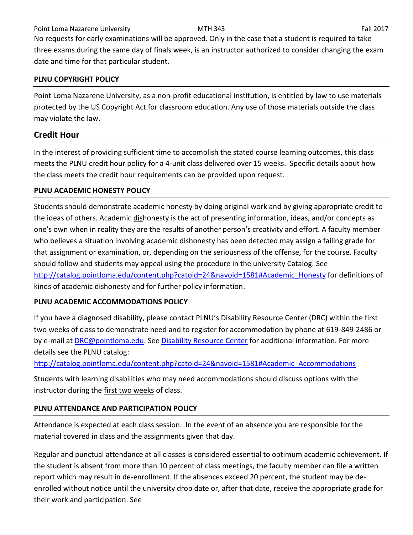Point Loma Nazarene University **MTH 343** Fall 2017

No requests for early examinations will be approved. Only in the case that a student is required to take three exams during the same day of finals week, is an instructor authorized to consider changing the exam date and time for that particular student.

## **PLNU COPYRIGHT POLICY**

Point Loma Nazarene University, as a non-profit educational institution, is entitled by law to use materials protected by the US Copyright Act for classroom education. Any use of those materials outside the class may violate the law.

# **Credit Hour**

In the interest of providing sufficient time to accomplish the stated course learning outcomes, this class meets the PLNU credit hour policy for a 4-unit class delivered over 15 weeks. Specific details about how the class meets the credit hour requirements can be provided upon request.

## **PLNU ACADEMIC HONESTY POLICY**

Students should demonstrate academic honesty by doing original work and by giving appropriate credit to the ideas of others. Academic dishonesty is the act of presenting information, ideas, and/or concepts as one's own when in reality they are the results of another person's creativity and effort. A faculty member who believes a situation involving academic dishonesty has been detected may assign a failing grade for that assignment or examination, or, depending on the seriousness of the offense, for the course. Faculty should follow and students may appeal using the procedure in the university Catalog. See [http://catalog.pointloma.edu/content.php?catoid=24&navoid=1581#Academic\\_Honesty](http://catalog.pointloma.edu/content.php?catoid=24&navoid=1581#Academic_Honesty) for definitions of kinds of academic dishonesty and for further policy information.

## **PLNU ACADEMIC ACCOMMODATIONS POLICY**

If you have a diagnosed disability, please contact PLNU's Disability Resource Center (DRC) within the first two weeks of class to demonstrate need and to register for accommodation by phone at 619-849-2486 or by e-mail at [DRC@pointloma.edu.](mailto:DRC@pointloma.edu) See [Disability Resource Center](http://www.pointloma.edu/experience/offices/administrative-offices/academic-advising-office/disability-resource-center) for additional information. For more details see the PLNU catalog:

[http://catalog.pointloma.edu/content.php?catoid=24&navoid=1581#Academic\\_Accommodations](http://catalog.pointloma.edu/content.php?catoid=24&navoid=1581#Academic_Accommodations)

Students with learning disabilities who may need accommodations should discuss options with the instructor during the first two weeks of class.

## **PLNU ATTENDANCE AND PARTICIPATION POLICY**

Attendance is expected at each class session. In the event of an absence you are responsible for the material covered in class and the assignments given that day.

Regular and punctual attendance at all classes is considered essential to optimum academic achievement. If the student is absent from more than 10 percent of class meetings, the faculty member can file a written report which may result in de-enrollment. If the absences exceed 20 percent, the student may be deenrolled without notice until the university drop date or, after that date, receive the appropriate grade for their work and participation. See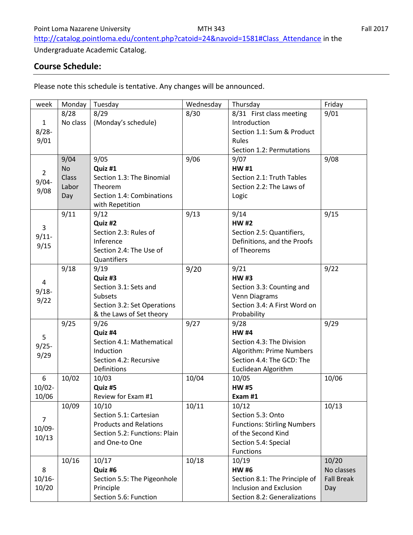[http://catalog.pointloma.edu/content.php?catoid=24&navoid=1581#Class\\_Attendance](http://catalog.pointloma.edu/content.php?catoid=24&navoid=1581#Class_Attendance) in the

Undergraduate Academic Catalog.

# **Course Schedule:**

Please note this schedule is tentative. Any changes will be announced.

| week           | Monday    | Tuesday                       | Wednesday | Thursday                           | Friday            |
|----------------|-----------|-------------------------------|-----------|------------------------------------|-------------------|
|                | 8/28      | 8/29                          | 8/30      | 8/31 First class meeting           | 9/01              |
| $\mathbf{1}$   | No class  | (Monday's schedule)           |           | Introduction                       |                   |
| $8/28 -$       |           |                               |           | Section 1.1: Sum & Product         |                   |
| 9/01           |           |                               |           | Rules                              |                   |
|                |           |                               |           | Section 1.2: Permutations          |                   |
|                | 9/04      | 9/05                          | 9/06      | 9/07                               | 9/08              |
|                | <b>No</b> | Quiz #1                       |           | <b>HW#1</b>                        |                   |
| $\overline{2}$ | Class     | Section 1.3: The Binomial     |           | Section 2.1: Truth Tables          |                   |
| $9/04 -$       | Labor     | Theorem                       |           | Section 2.2: The Laws of           |                   |
| 9/08           | Day       | Section 1.4: Combinations     |           | Logic                              |                   |
|                |           | with Repetition               |           |                                    |                   |
|                | 9/11      | 9/12                          | 9/13      | 9/14                               | 9/15              |
|                |           | Quiz #2                       |           | <b>HW#2</b>                        |                   |
| 3              |           | Section 2.3: Rules of         |           | Section 2.5: Quantifiers,          |                   |
| $9/11$ -       |           | Inference                     |           | Definitions, and the Proofs        |                   |
| 9/15           |           | Section 2.4: The Use of       |           | of Theorems                        |                   |
|                |           | Quantifiers                   |           |                                    |                   |
|                | 9/18      | 9/19                          | 9/20      | 9/21                               | 9/22              |
|                |           | Quiz #3                       |           | <b>HW#3</b>                        |                   |
| $\overline{4}$ |           | Section 3.1: Sets and         |           | Section 3.3: Counting and          |                   |
| $9/18 -$       |           | <b>Subsets</b>                |           | Venn Diagrams                      |                   |
| 9/22           |           | Section 3.2: Set Operations   |           | Section 3.4: A First Word on       |                   |
|                |           | & the Laws of Set theory      |           | Probability                        |                   |
|                | 9/25      | 9/26                          | 9/27      | 9/28                               | 9/29              |
| 5              |           | Quiz #4                       |           | <b>HW#4</b>                        |                   |
| $9/25 -$       |           | Section 4.1: Mathematical     |           | Section 4.3: The Division          |                   |
| 9/29           |           | Induction                     |           | Algorithm: Prime Numbers           |                   |
|                |           | Section 4.2: Recursive        |           | Section 4.4: The GCD: The          |                   |
|                |           | Definitions                   |           | Euclidean Algorithm                |                   |
| 6              | 10/02     | 10/03                         | 10/04     | 10/05                              | 10/06             |
| $10/02 -$      |           | Quiz #5                       |           | <b>HW#5</b>                        |                   |
| 10/06          |           | Review for Exam #1            |           | Exam #1                            |                   |
|                | 10/09     | 10/10                         | 10/11     | 10/12                              | 10/13             |
| $\overline{7}$ |           | Section 5.1: Cartesian        |           | Section 5.3: Onto                  |                   |
| 10/09-         |           | <b>Products and Relations</b> |           | <b>Functions: Stirling Numbers</b> |                   |
| 10/13          |           | Section 5.2: Functions: Plain |           | of the Second Kind                 |                   |
|                |           | and One-to One                |           | Section 5.4: Special               |                   |
|                |           |                               |           | Functions                          |                   |
|                | 10/16     | 10/17                         | 10/18     | 10/19                              | 10/20             |
| 8              |           | Quiz #6                       |           | <b>HW#6</b>                        | No classes        |
| $10/16 -$      |           | Section 5.5: The Pigeonhole   |           | Section 8.1: The Principle of      | <b>Fall Break</b> |
| 10/20          |           | Principle                     |           | <b>Inclusion and Exclusion</b>     | Day               |
|                |           | Section 5.6: Function         |           | Section 8.2: Generalizations       |                   |